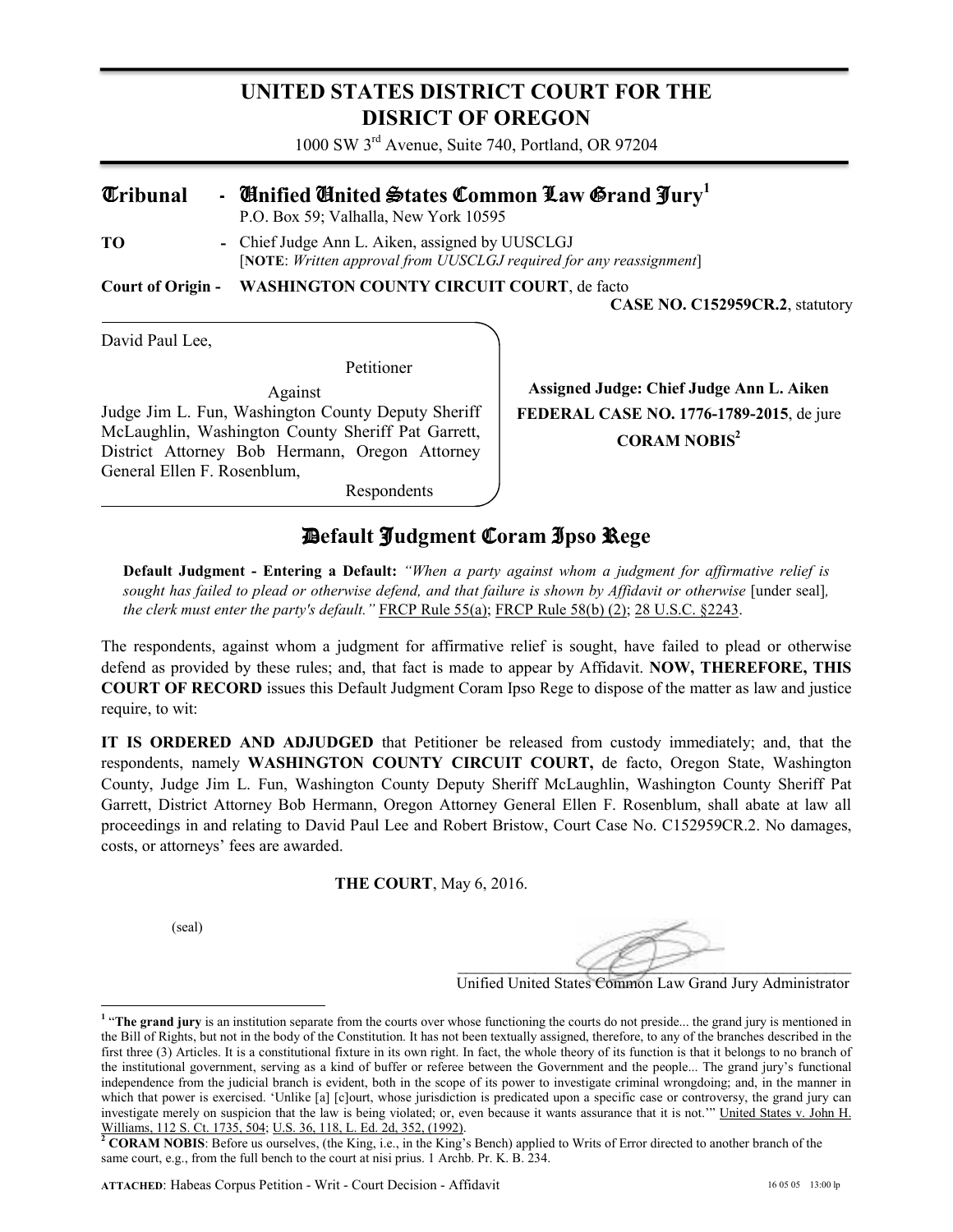## **UNITED STATES DISTRICT COURT FOR THE DISRICT OF OREGON**

1000 SW 3rd Avenue, Suite 740, Portland, OR 97204

| <b>Tribunal</b>          | - Unified United States Common Law Grand Jury<br>P.O. Box 59; Valhalla, New York 10595                                 |
|--------------------------|------------------------------------------------------------------------------------------------------------------------|
| TО                       | - Chief Judge Ann L. Aiken, assigned by UUSCLGJ<br>[NOTE: Written approval from UUSCLGJ required for any reassignment] |
| <b>Court of Origin -</b> | <b>WASHINGTON COUNTY CIRCUIT COURT, de facto</b>                                                                       |
|                          | CASE NO. C152959CR.2, statutory                                                                                        |

David Paul Lee,

Petitioner

Against Judge Jim L. Fun, Washington County Deputy Sheriff McLaughlin, Washington County Sheriff Pat Garrett, District Attorney Bob Hermann, Oregon Attorney General Ellen F. Rosenblum,

**Assigned Judge: Chief Judge Ann L. Aiken FEDERAL CASE NO. 1776-1789-2015**, de jure **CORAM NOBIS<sup>2</sup>**

#### Respondents

## D**efault** J**udgment** C**oram** I**pso** R**ege**

**Default Judgment - Entering a Default:** *"When a party against whom a judgment for affirmative relief is sought has failed to plead or otherwise defend, and that failure is shown by Affidavit or otherwise* [under seal], *the clerk must enter the party's default."* FRCP Rule 55(a); FRCP Rule 58(b) (2); 28 U.S.C. §2243.

The respondents, against whom a judgment for affirmative relief is sought, have failed to plead or otherwise defend as provided by these rules; and, that fact is made to appear by Affidavit. **NOW, THEREFORE, THIS COURT OF RECORD** issues this Default Judgment Coram Ipso Rege to dispose of the matter as law and justice require, to wit:

**IT IS ORDERED AND ADJUDGED** that Petitioner be released from custody immediately; and, that the respondents, namely **WASHINGTON COUNTY CIRCUIT COURT,** de facto, Oregon State, Washington County, Judge Jim L. Fun, Washington County Deputy Sheriff McLaughlin, Washington County Sheriff Pat Garrett, District Attorney Bob Hermann, Oregon Attorney General Ellen F. Rosenblum, shall abate at law all proceedings in and relating to David Paul Lee and Robert Bristow, Court Case No. C152959CR.2. No damages, costs, or attorneys' fees are awarded.

**THE COURT**, May 6, 2016.

(seal)

 $\sqrt{2}$ 

Unified United States Common Law Grand Jury Administrator

<sup>&</sup>lt;sup>1</sup> "The grand jury is an institution separate from the courts over whose functioning the courts do not preside... the grand jury is mentioned in the Bill of Rights, but not in the body of the Constitution. It has not been textually assigned, therefore, to any of the branches described in the first three (3) Articles. It is a constitutional fixture in its own right. In fact, the whole theory of its function is that it belongs to no branch of the institutional government, serving as a kind of buffer or referee between the Government and the people... The grand jury's functional independence from the judicial branch is evident, both in the scope of its power to investigate criminal wrongdoing; and, in the manner in which that power is exercised. 'Unlike [a] [c]ourt, whose jurisdiction is predicated upon a specific case or controversy, the grand jury can investigate merely on suspicion that the law is being violated; or, even because it wants assurance that it is not."" United States v. John H. Williams, 112 S. Ct. 1735, 504; U.S. 36, 118, L. Ed. 2d, 352, (1992).

**<sup>2</sup> CORAM NOBIS**: Before us ourselves, (the King, i.e., in the King's Bench) applied to Writs of Error directed to another branch of the same court, e.g., from the full bench to the court at nisi prius. 1 Archb. Pr. K. B. 234.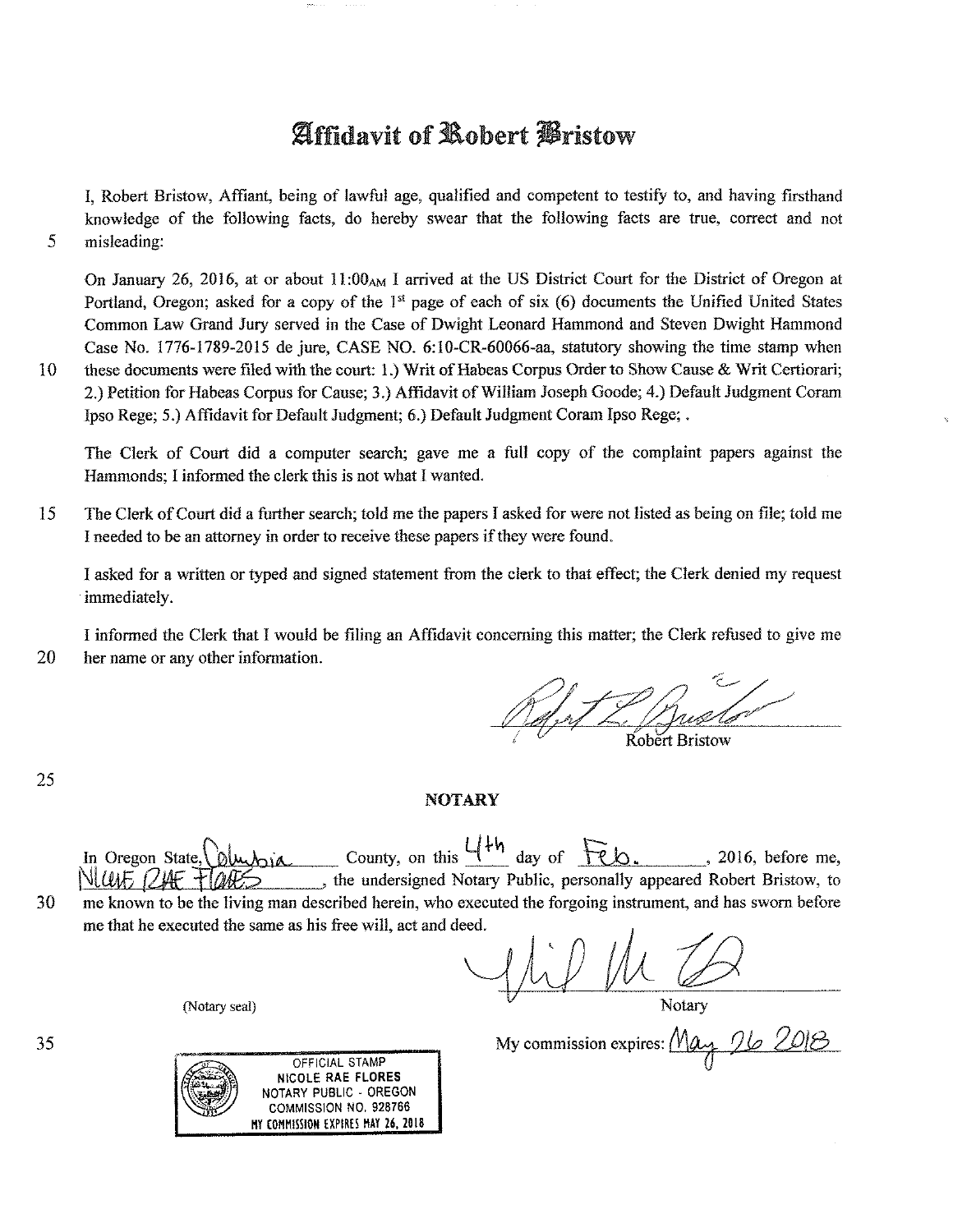# **Affidavit of Robert Bristow**

I, Robert Bristow, Affiant, being of lawful age, qualified and competent to testify to, and having firsthand knowledge of the following facts, do hereby swear that the following facts are true, correct and not misleading:

On January 26, 2016, at or about  $11:00_{AM}$  I arrived at the US District Court for the District of Oregon at Portland, Oregon; asked for a copy of the 1<sup>st</sup> page of each of six (6) documents the Unified United States Common Law Grand Jury served in the Case of Dwight Leonard Hammond and Steven Dwight Hammond Case No. 1776-1789-2015 de jure, CASE NO. 6:10-CR-60066-aa, statutory showing the time stamp when these documents were filed with the court: 1.) Writ of Habeas Corpus Order to Show Cause & Writ Certiorari; 2.) Petition for Habeas Corpus for Cause; 3.) Affidavit of William Joseph Goode; 4.) Default Judgment Coram Ipso Rege; 5.) Affidavit for Default Judgment; 6.) Default Judgment Coram Ipso Rege; .

The Clerk of Court did a computer search; gave me a full copy of the complaint papers against the Hammonds; I informed the clerk this is not what I wanted.

15 The Clerk of Court did a further search; told me the papers I asked for were not listed as being on file; told me I needed to be an attorney in order to receive these papers if they were found.

I asked for a written or typed and signed statement from the clerk to that effect; the Clerk denied my request immediately.

I informed the Clerk that I would be filing an Affidavit concerning this matter; the Clerk refused to give me 20 her name or any other information.

Robert Bristow

25

5

10

### **NOTARY**

County, on this  $L/H$  day of  $\overline{P}b$ . 2016, before me, In Oregon State,  $\delta$   $\mu$ ,  $\delta$ , NLWE DUF  $\mathbb{Q}$  , the undersigned Notary Public, personally appeared Robert Bristow, to me known to be the living man described herein, who executed the forgoing instrument, and has sworn before 30 me that he executed the same as his free will, act and deed.

Notary

My commission expires: May 26 2018

(Notary seal)



35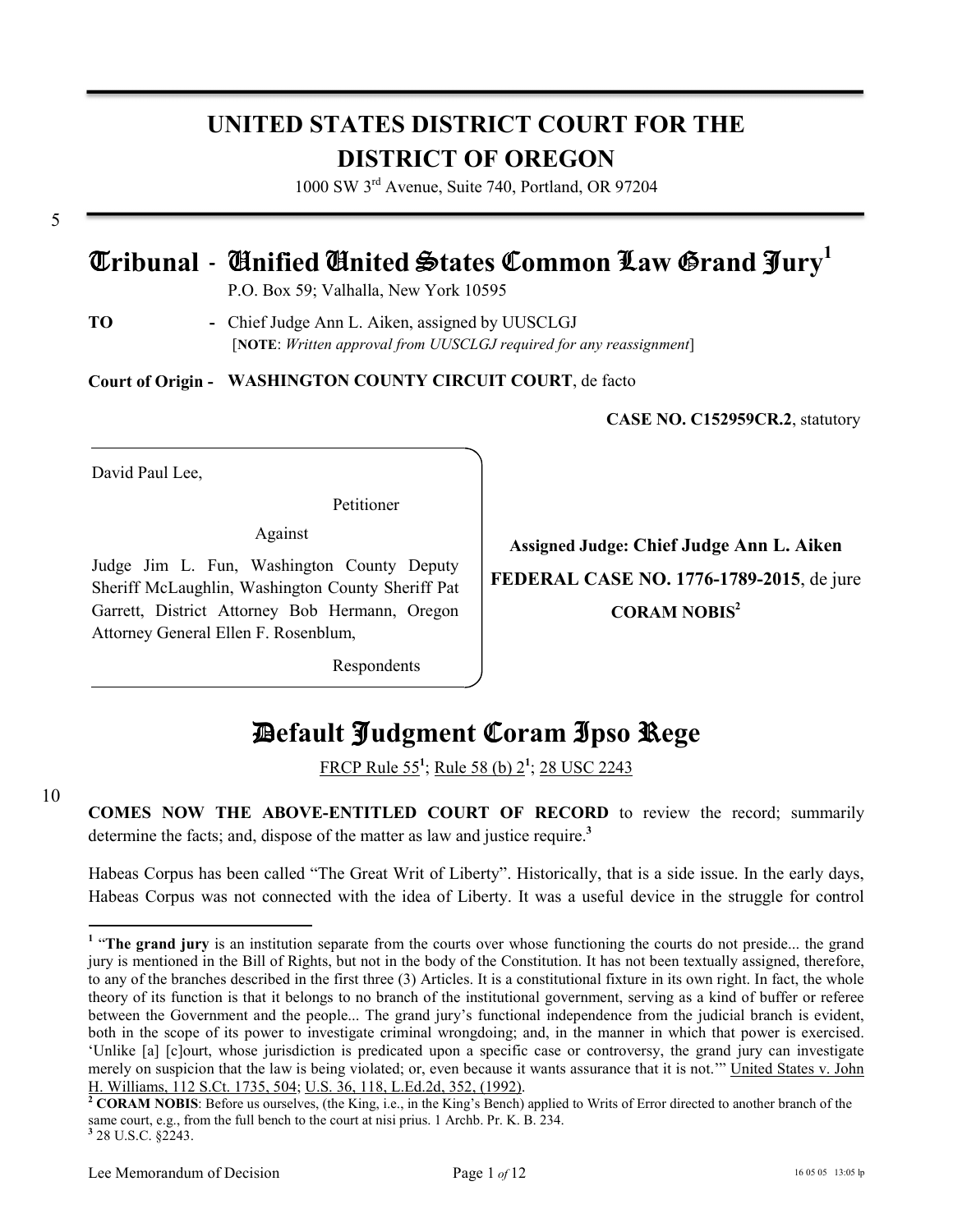# **UNITED STATES DISTRICT COURT FOR THE DISTRICT OF OREGON**

1000 SW 3rd Avenue, Suite 740, Portland, OR 97204

# T**ribunal** - U**nified** U**nited** S**tates** C**ommon** L**aw** G**rand** J**ury<sup>1</sup>**

P.O. Box 59; Valhalla, New York 10595

**TO -** Chief Judge Ann L. Aiken, assigned by UUSCLGJ [**NOTE**: *Written approval from UUSCLGJ required for any reassignment*]

**Court of Origin - WASHINGTON COUNTY CIRCUIT COURT**, de facto

**CASE NO. C152959CR.2**, statutory

David Paul Lee,

Petitioner

Against

Judge Jim L. Fun, Washington County Deputy Sheriff McLaughlin, Washington County Sheriff Pat Garrett, District Attorney Bob Hermann, Oregon Attorney General Ellen F. Rosenblum,

**Assigned Judge: Chief Judge Ann L. Aiken FEDERAL CASE NO. 1776-1789-2015**, de jure **CORAM NOBIS<sup>2</sup>**

Respondents

# D**efault** J**udgment** C**oram** I**pso** R**ege**

FRCP Rule 55**<sup>1</sup>** ; Rule 58 (b) 2**<sup>1</sup>** ; 28 USC 2243

10

 $\overline{a}$ 

5

**COMES NOW THE ABOVE-ENTITLED COURT OF RECORD** to review the record; summarily determine the facts; and, dispose of the matter as law and justice require.**<sup>3</sup>**

Habeas Corpus has been called "The Great Writ of Liberty". Historically, that is a side issue. In the early days, Habeas Corpus was not connected with the idea of Liberty. It was a useful device in the struggle for control

<sup>&</sup>lt;sup>1</sup> "The grand jury is an institution separate from the courts over whose functioning the courts do not preside... the grand jury is mentioned in the Bill of Rights, but not in the body of the Constitution. It has not been textually assigned, therefore, to any of the branches described in the first three (3) Articles. It is a constitutional fixture in its own right. In fact, the whole theory of its function is that it belongs to no branch of the institutional government, serving as a kind of buffer or referee between the Government and the people... The grand jury's functional independence from the judicial branch is evident, both in the scope of its power to investigate criminal wrongdoing; and, in the manner in which that power is exercised. 'Unlike [a] [c]ourt, whose jurisdiction is predicated upon a specific case or controversy, the grand jury can investigate merely on suspicion that the law is being violated; or, even because it wants assurance that it is not."" United States v. John H. Williams, 112 S.Ct. 1735, 504; U.S. 36, 118, L.Ed.2d, 352, (1992).

**<sup>2</sup> CORAM NOBIS**: Before us ourselves, (the King, i.e., in the King's Bench) applied to Writs of Error directed to another branch of the same court, e.g., from the full bench to the court at nisi prius. 1 Archb. Pr. K. B. 234.

**<sup>3</sup>** 28 U.S.C. §2243.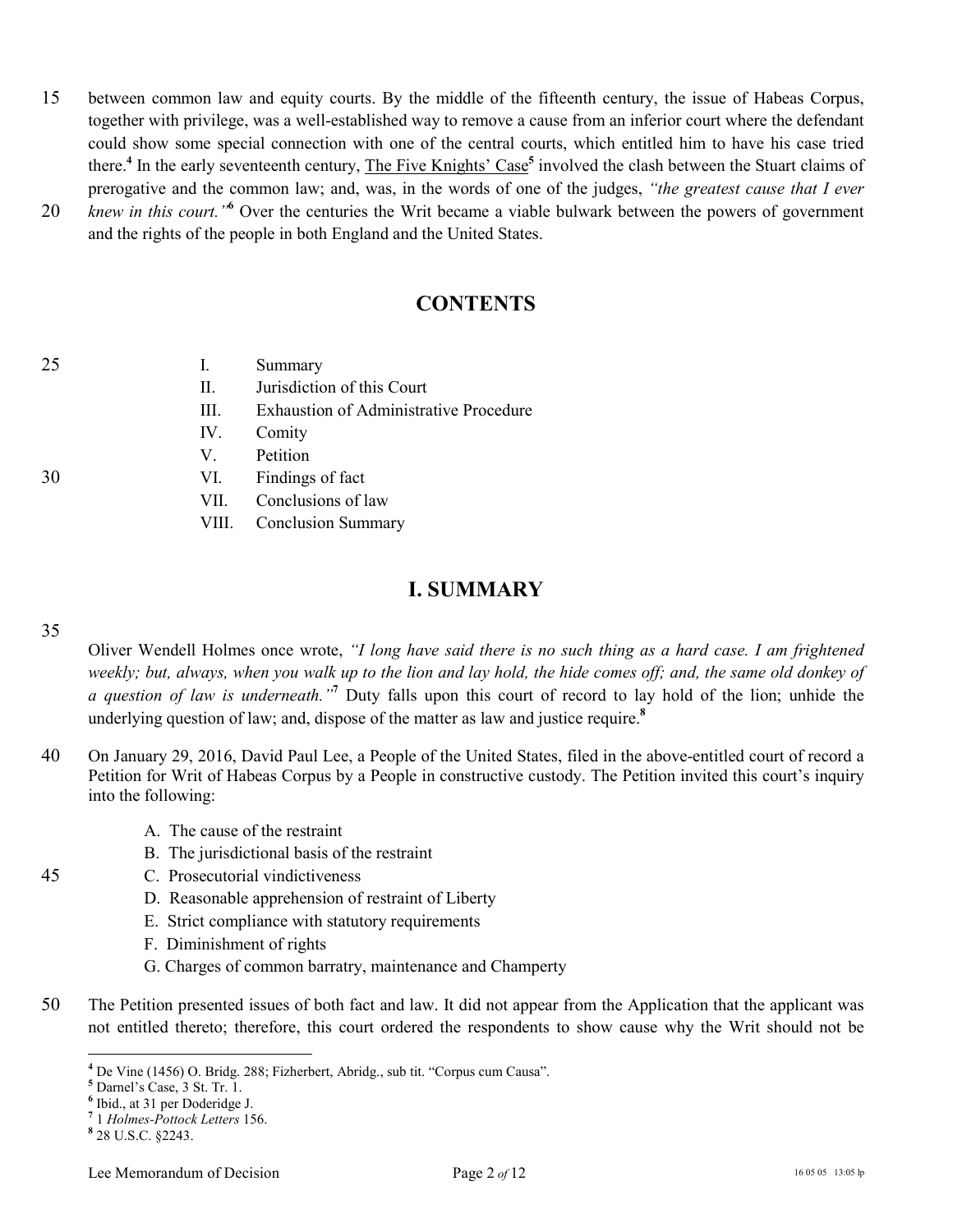- 15 between common law and equity courts. By the middle of the fifteenth century, the issue of Habeas Corpus, together with privilege, was a well-established way to remove a cause from an inferior court where the defendant could show some special connection with one of the central courts, which entitled him to have his case tried there.<sup>4</sup> In the early seventeenth century, The Five Knights' Case<sup>5</sup> involved the clash between the Stuart claims of prerogative and the common law; and, was, in the words of one of the judges, *"the greatest cause that I ever*  20 *knew in this court.*<sup>56</sup> Over the centuries the Writ became a viable bulwark between the powers of government
- and the rights of the people in both England and the United States.

## **CONTENTS**

- 25 I. Summary II. Jurisdiction of this Court III. Exhaustion of Administrative Procedure IV. Comity V. Petition 30 VI. Findings of fact
	- VII. Conclusions of law
	- VIII. Conclusion Summary

## **I. SUMMARY**

#### 35

Oliver Wendell Holmes once wrote, *"I long have said there is no such thing as a hard case. I am frightened weekly; but, always, when you walk up to the lion and lay hold, the hide comes off; and, the same old donkey of a question of law is underneath."***<sup>7</sup>** Duty falls upon this court of record to lay hold of the lion; unhide the underlying question of law; and, dispose of the matter as law and justice require.**<sup>8</sup>**

- 40 On January 29, 2016, David Paul Lee, a People of the United States, filed in the above-entitled court of record a Petition for Writ of Habeas Corpus by a People in constructive custody. The Petition invited this court's inquiry into the following:
	- A. The cause of the restraint
	- B. The jurisdictional basis of the restraint
- 45 C. Prosecutorial vindictiveness
	- D. Reasonable apprehension of restraint of Liberty
	- E. Strict compliance with statutory requirements
	- F. Diminishment of rights
	- G. Charges of common barratry, maintenance and Champerty
- 50 The Petition presented issues of both fact and law. It did not appear from the Application that the applicant was not entitled thereto; therefore, this court ordered the respondents to show cause why the Writ should not be

 **4** De Vine (1456) O. Bridg. 288; Fizherbert, Abridg., sub tit. "Corpus cum Causa".

**<sup>5</sup>** Darnel's Case, 3 St. Tr. 1.

**<sup>6</sup>** Ibid., at 31 per Doderidge J.

**<sup>7</sup>** 1 *Holmes-Pottock Letters* 156.

**<sup>8</sup>** 28 U.S.C. §2243.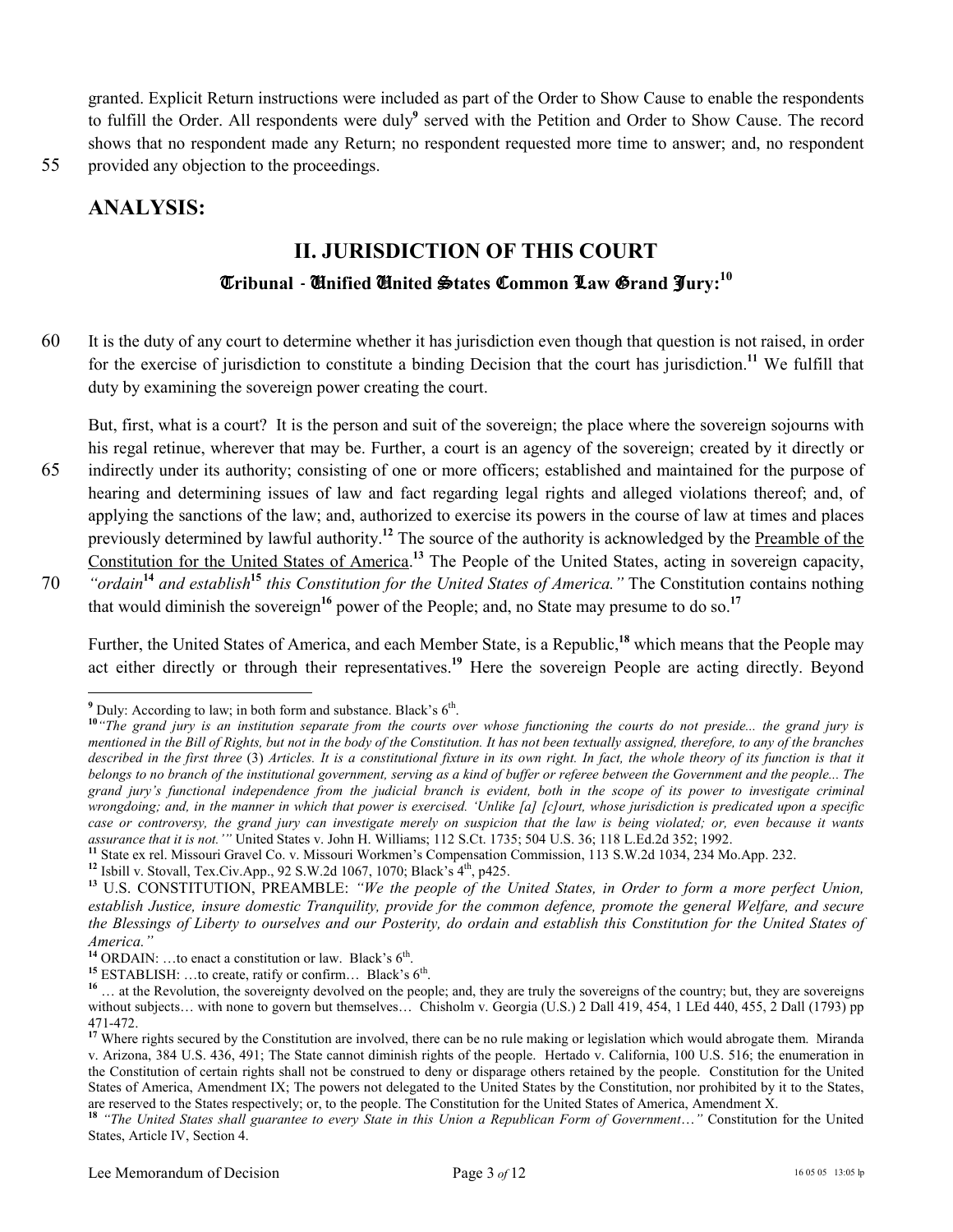granted. Explicit Return instructions were included as part of the Order to Show Cause to enable the respondents to fulfill the Order. All respondents were duly<sup>9</sup> served with the Petition and Order to Show Cause. The record shows that no respondent made any Return; no respondent requested more time to answer; and, no respondent 55 provided any objection to the proceedings.

 $\overline{a}$ 

## **ANALYSIS:**

## **II. JURISDICTION OF THIS COURT**  T**ribunal**- U**nified**U**nited**S**tates**C**ommon** L**aw**G**rand**J**ury:<sup>10</sup>**

60 It is the duty of any court to determine whether it has jurisdiction even though that question is not raised, in order for the exercise of jurisdiction to constitute a binding Decision that the court has jurisdiction.**<sup>11</sup>** We fulfill that duty by examining the sovereign power creating the court.

But, first, what is a court? It is the person and suit of the sovereign; the place where the sovereign sojourns with his regal retinue, wherever that may be. Further, a court is an agency of the sovereign; created by it directly or 65 indirectly under its authority; consisting of one or more officers; established and maintained for the purpose of hearing and determining issues of law and fact regarding legal rights and alleged violations thereof; and, of applying the sanctions of the law; and, authorized to exercise its powers in the course of law at times and places previously determined by lawful authority.**<sup>12</sup>** The source of the authority is acknowledged by the Preamble of the Constitution for the United States of America.**<sup>13</sup>** The People of the United States, acting in sovereign capacity,

*"ordain***<sup>14</sup>** *and establish***<sup>15</sup>** 70 *this Constitution for the United States of America."* The Constitution contains nothing that would diminish the sovereign**<sup>16</sup>** power of the People; and, no State may presume to do so.**<sup>17</sup>**

Further, the United States of America, and each Member State, is a Republic,**<sup>18</sup>** which means that the People may act either directly or through their representatives.**<sup>19</sup>** Here the sovereign People are acting directly. Beyond

12 Isbill v. Stovall, Tex.Civ.App., 92 S.W.2d 1067, 1070; Black's 4<sup>th</sup>, p425.

<sup>&</sup>lt;sup>9</sup> Duly: According to law; in both form and substance. Black's 6<sup>th</sup>.

**<sup>10</sup>***"The grand jury is an institution separate from the courts over whose functioning the courts do not preside... the grand jury is mentioned in the Bill of Rights, but not in the body of the Constitution. It has not been textually assigned, therefore, to any of the branches described in the first three* (3) *Articles. It is a constitutional fixture in its own right. In fact, the whole theory of its function is that it belongs to no branch of the institutional government, serving as a kind of buffer or referee between the Government and the people... The grand jury's functional independence from the judicial branch is evident, both in the scope of its power to investigate criminal wrongdoing; and, in the manner in which that power is exercised. 'Unlike [a] [c]ourt, whose jurisdiction is predicated upon a specific case or controversy, the grand jury can investigate merely on suspicion that the law is being violated; or, even because it wants assurance that it is not.'"* United States v. John H. Williams; 112 S.Ct. 1735; 504 U.S. 36; 118 L.Ed.2d 352; 1992.

**<sup>11</sup>** State ex rel. Missouri Gravel Co. v. Missouri Workmen's Compensation Commission, 113 S.W.2d 1034, 234 Mo.App. 232.

**<sup>13</sup>** U.S. CONSTITUTION, PREAMBLE: *"We the people of the United States, in Order to form a more perfect Union, establish Justice, insure domestic Tranquility, provide for the common defence, promote the general Welfare, and secure the Blessings of Liberty to ourselves and our Posterity, do ordain and establish this Constitution for the United States of America."*

<sup>&</sup>lt;sup>14</sup> ORDAIN: ...to enact a constitution or law. Black's  $6<sup>th</sup>$ .

<sup>&</sup>lt;sup>15</sup> ESTABLISH: ...to create, ratify or confirm... Black's  $6<sup>th</sup>$ .

<sup>&</sup>lt;sup>16</sup> ... at the Revolution, the sovereignty devolved on the people; and, they are truly the sovereigns of the country; but, they are sovereigns without subjects... with none to govern but themselves... Chisholm v. Georgia (U.S.) 2 Dall 419, 454, 1 LEd 440, 455, 2 Dall (1793) pp 471-472.

<sup>&</sup>lt;sup>17</sup> Where rights secured by the Constitution are involved, there can be no rule making or legislation which would abrogate them. Miranda v. Arizona, 384 U.S. 436, 491; The State cannot diminish rights of the people. Hertado v. California, 100 U.S. 516; the enumeration in the Constitution of certain rights shall not be construed to deny or disparage others retained by the people. Constitution for the United States of America, Amendment IX; The powers not delegated to the United States by the Constitution, nor prohibited by it to the States, are reserved to the States respectively; or, to the people. The Constitution for the United States of America, Amendment X.

**<sup>18</sup>** *"The United States shall guarantee to every State in this Union a Republican Form of Government*…*"* Constitution for the United States, Article IV, Section 4.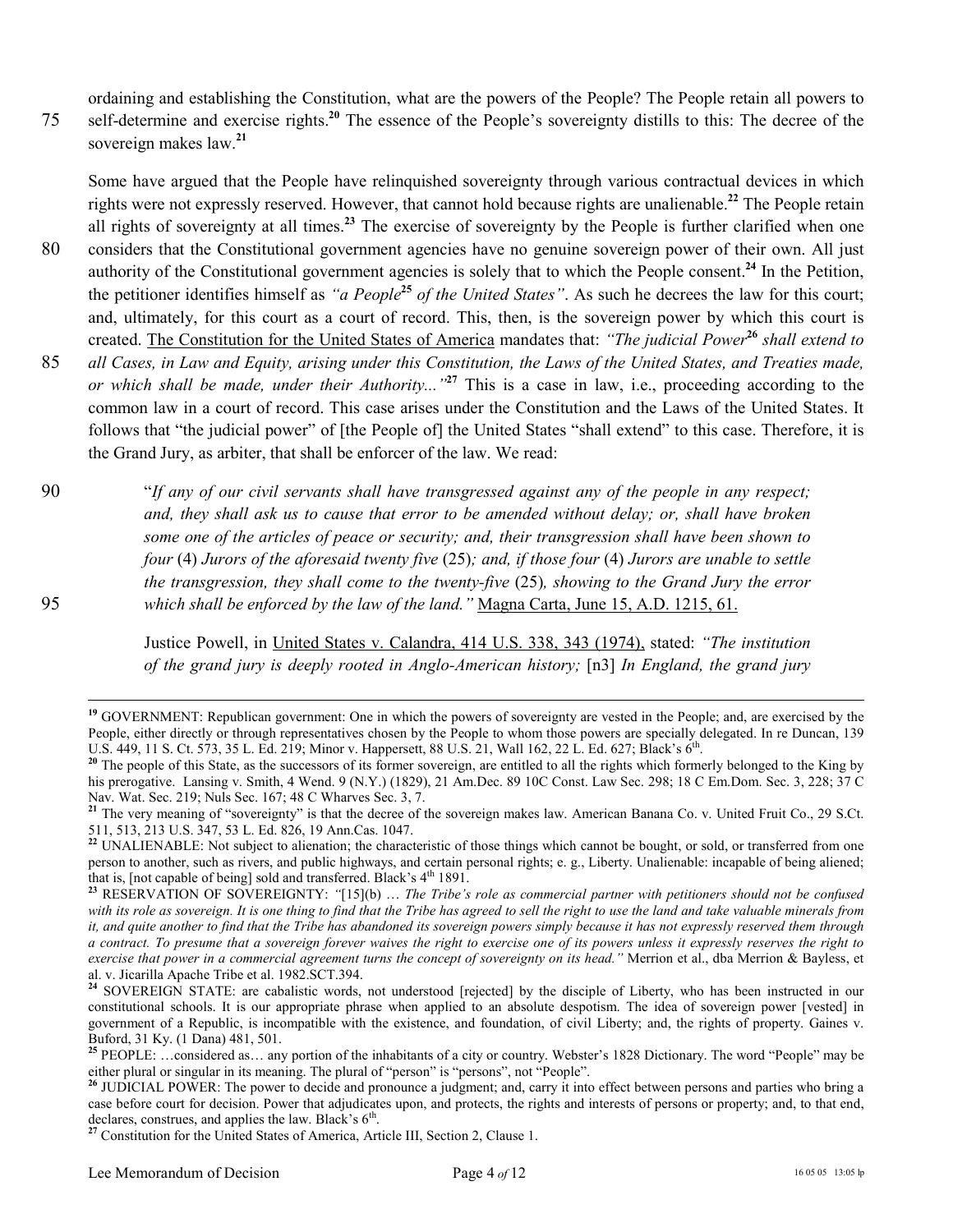ordaining and establishing the Constitution, what are the powers of the People? The People retain all powers to self-determine and exercise rights.**<sup>20</sup>** 75 The essence of the People's sovereignty distills to this: The decree of the sovereign makes law.**<sup>21</sup>**

Some have argued that the People have relinquished sovereignty through various contractual devices in which rights were not expressly reserved. However, that cannot hold because rights are unalienable.**<sup>22</sup>** The People retain all rights of sovereignty at all times.**<sup>23</sup>** The exercise of sovereignty by the People is further clarified when one

- 80 considers that the Constitutional government agencies have no genuine sovereign power of their own. All just authority of the Constitutional government agencies is solely that to which the People consent.**<sup>24</sup>** In the Petition, the petitioner identifies himself as *"a People***<sup>25</sup>** *of the United States"*. As such he decrees the law for this court; and, ultimately, for this court as a court of record. This, then, is the sovereign power by which this court is created. The Constitution for the United States of America mandates that: *"The judicial Power***<sup>26</sup>** *shall extend to*
- 85 *all Cases, in Law and Equity, arising under this Constitution, the Laws of the United States, and Treaties made, or which shall be made, under their Authority..."***<sup>27</sup>** This is a case in law, i.e., proceeding according to the common law in a court of record. This case arises under the Constitution and the Laws of the United States. It follows that "the judicial power" of [the People of] the United States "shall extend" to this case. Therefore, it is the Grand Jury, as arbiter, that shall be enforcer of the law. We read:
- 90 "*If any of our civil servants shall have transgressed against any of the people in any respect; and, they shall ask us to cause that error to be amended without delay; or, shall have broken some one of the articles of peace or security; and, their transgression shall have been shown to four* (4) *Jurors of the aforesaid twenty five* (25)*; and, if those four* (4) *Jurors are unable to settle the transgression, they shall come to the twenty-five* (25)*, showing to the Grand Jury the error*  95 *which shall be enforced by the law of the land."* Magna Carta, June 15, A.D. 1215, 61.

 $\overline{a}$ 

Justice Powell, in United States v. Calandra, 414 U.S. 338, 343 (1974), stated: *"The institution of the grand jury is deeply rooted in Anglo-American history;* [n3] *In England, the grand jury* 

**<sup>19</sup>** GOVERNMENT: Republican government: One in which the powers of sovereignty are vested in the People; and, are exercised by the People, either directly or through representatives chosen by the People to whom those powers are specially delegated. In re Duncan, 139 U.S. 449, 11 S. Ct. 573, 35 L. Ed. 219; Minor v. Happersett, 88 U.S. 21, Wall 162, 22 L. Ed. 627; Black's 6<sup>th</sup>.

<sup>&</sup>lt;sup>20</sup> The people of this State, as the successors of its former sovereign, are entitled to all the rights which formerly belonged to the King by his prerogative. Lansing v. Smith, 4 Wend. 9 (N.Y.) (1829), 21 Am.Dec. 89 10C Const. Law Sec. 298; 18 C Em.Dom. Sec. 3, 228; 37 C Nav. Wat. Sec. 219; Nuls Sec. 167; 48 C Wharves Sec. 3, 7.

**<sup>21</sup>** The very meaning of "sovereignty" is that the decree of the sovereign makes law. American Banana Co. v. United Fruit Co., 29 S.Ct. 511, 513, 213 U.S. 347, 53 L. Ed. 826, 19 Ann.Cas. 1047.

**<sup>22</sup>** UNALIENABLE: Not subject to alienation; the characteristic of those things which cannot be bought, or sold, or transferred from one person to another, such as rivers, and public highways, and certain personal rights; e. g., Liberty. Unalienable: incapable of being aliened; that is, [not capable of being] sold and transferred. Black's 4th 1891.

**<sup>23</sup>** RESERVATION OF SOVEREIGNTY: *"*[15](b) … *The Tribe's role as commercial partner with petitioners should not be confused with its role as sovereign. It is one thing to find that the Tribe has agreed to sell the right to use the land and take valuable minerals from it, and quite another to find that the Tribe has abandoned its sovereign powers simply because it has not expressly reserved them through a contract. To presume that a sovereign forever waives the right to exercise one of its powers unless it expressly reserves the right to exercise that power in a commercial agreement turns the concept of sovereignty on its head."* Merrion et al., dba Merrion & Bayless, et al. v. Jicarilla Apache Tribe et al. 1982.SCT.394.

<sup>&</sup>lt;sup>24</sup> SOVEREIGN STATE: are cabalistic words, not understood [rejected] by the disciple of Liberty, who has been instructed in our constitutional schools. It is our appropriate phrase when applied to an absolute despotism. The idea of sovereign power [vested] in government of a Republic, is incompatible with the existence, and foundation, of civil Liberty; and, the rights of property. Gaines v. Buford, 31 Ky. (1 Dana) 481, 501.

<sup>&</sup>lt;sup>25</sup> PEOPLE: ...considered as... any portion of the inhabitants of a city or country. Webster's 1828 Dictionary. The word "People" may be either plural or singular in its meaning. The plural of "person" is "persons", not "People".

**<sup>26</sup>** JUDICIAL POWER: The power to decide and pronounce a judgment; and, carry it into effect between persons and parties who bring a case before court for decision. Power that adjudicates upon, and protects, the rights and interests of persons or property; and, to that end, declares, construes, and applies the law. Black's  $6<sup>th</sup>$ .

<sup>&</sup>lt;sup>27</sup> Constitution for the United States of America, Article III, Section 2, Clause 1.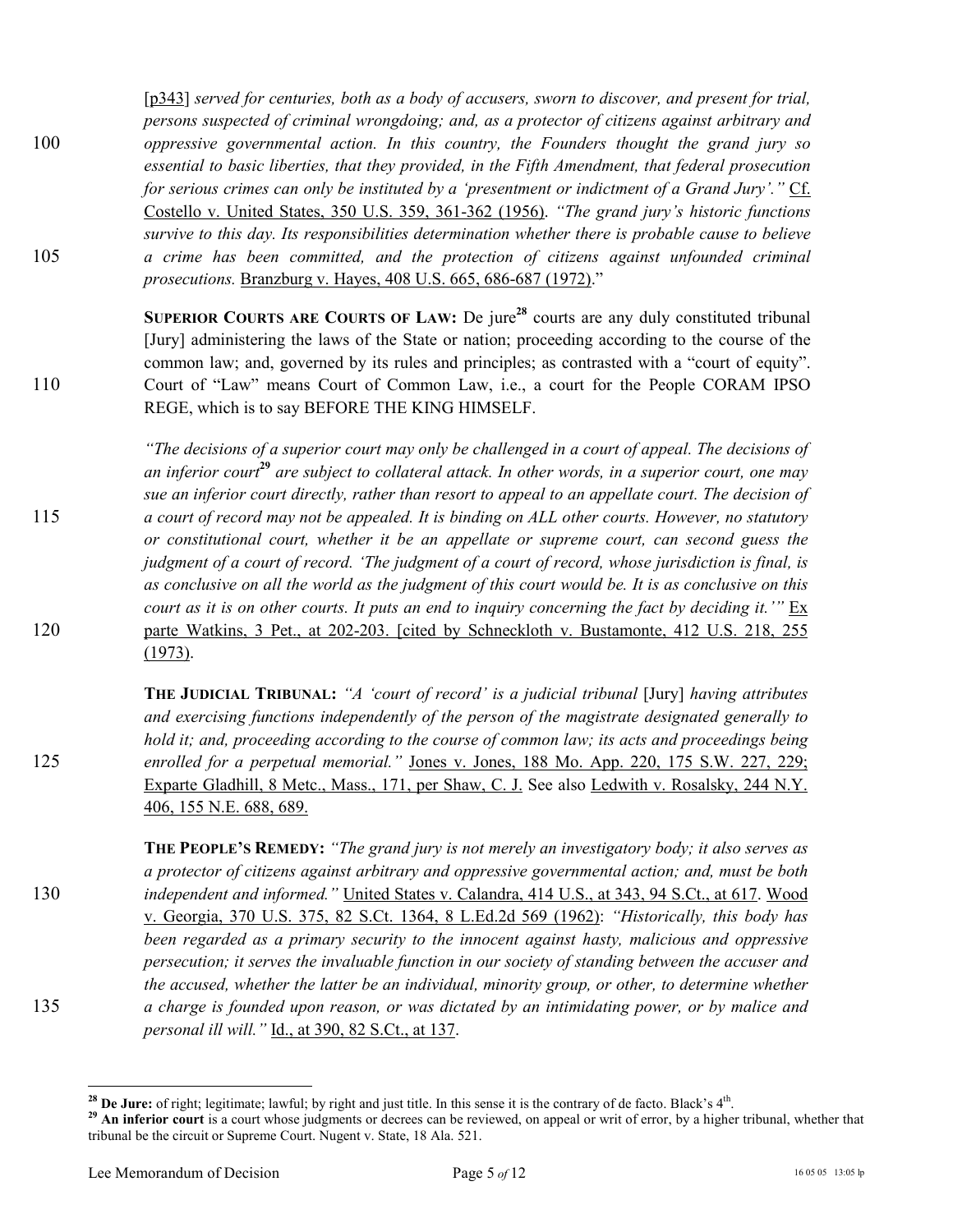[p343] *served for centuries, both as a body of accusers, sworn to discover, and present for trial, persons suspected of criminal wrongdoing; and, as a protector of citizens against arbitrary and*  100 *oppressive governmental action. In this country, the Founders thought the grand jury so essential to basic liberties, that they provided, in the Fifth Amendment, that federal prosecution for serious crimes can only be instituted by a 'presentment or indictment of a Grand Jury'."* Cf. Costello v. United States, 350 U.S. 359, 361-362 (1956). *"The grand jury's historic functions survive to this day. Its responsibilities determination whether there is probable cause to believe*  105 *a crime has been committed, and the protection of citizens against unfounded criminal prosecutions.* Branzburg v. Hayes, 408 U.S. 665, 686-687 (1972)."

**SUPERIOR COURTS ARE COURTS OF LAW:** De jure**<sup>28</sup>** courts are any duly constituted tribunal [Jury] administering the laws of the State or nation; proceeding according to the course of the common law; and, governed by its rules and principles; as contrasted with a "court of equity". 110 Court of "Law" means Court of Common Law, i.e., a court for the People CORAM IPSO REGE, which is to say BEFORE THE KING HIMSELF.

*"The decisions of a superior court may only be challenged in a court of appeal. The decisions of an inferior court***<sup>29</sup>** *are subject to collateral attack. In other words, in a superior court, one may sue an inferior court directly, rather than resort to appeal to an appellate court. The decision of*  115 *a court of record may not be appealed. It is binding on ALL other courts. However, no statutory or constitutional court, whether it be an appellate or supreme court, can second guess the judgment of a court of record. 'The judgment of a court of record, whose jurisdiction is final, is as conclusive on all the world as the judgment of this court would be. It is as conclusive on this court as it is on other courts. It puts an end to inquiry concerning the fact by deciding it.'"* Ex 120 parte Watkins, 3 Pet., at 202-203. [cited by Schneckloth v. Bustamonte, 412 U.S. 218, 255 (1973).

**THE JUDICIAL TRIBUNAL:** *"A 'court of record' is a judicial tribunal* [Jury] *having attributes and exercising functions independently of the person of the magistrate designated generally to hold it; and, proceeding according to the course of common law; its acts and proceedings being*  125 *enrolled for a perpetual memorial."* Jones v. Jones, 188 Mo. App. 220, 175 S.W. 227, 229; Exparte Gladhill, 8 Metc., Mass., 171, per Shaw, C. J. See also Ledwith v. Rosalsky, 244 N.Y. 406, 155 N.E. 688, 689.

**THE PEOPLE'S REMEDY:** *"The grand jury is not merely an investigatory body; it also serves as a protector of citizens against arbitrary and oppressive governmental action; and, must be both*  130 *independent and informed."* United States v. Calandra, 414 U.S., at 343, 94 S.Ct., at 617. Wood v. Georgia, 370 U.S. 375, 82 S.Ct. 1364, 8 L.Ed.2d 569 (1962): *"Historically, this body has been regarded as a primary security to the innocent against hasty, malicious and oppressive persecution; it serves the invaluable function in our society of standing between the accuser and the accused, whether the latter be an individual, minority group, or other, to determine whether*  135 *a charge is founded upon reason, or was dictated by an intimidating power, or by malice and personal ill will."* Id., at 390, 82 S.Ct., at 137.

 $\overline{a}$ 

<sup>&</sup>lt;sup>28</sup> De Jure: of right; legitimate; lawful; by right and just title. In this sense it is the contrary of de facto. Black's 4<sup>th</sup>.

<sup>&</sup>lt;sup>29</sup> An inferior court is a court whose judgments or decrees can be reviewed, on appeal or writ of error, by a higher tribunal, whether that tribunal be the circuit or Supreme Court. Nugent v. State, 18 Ala. 521.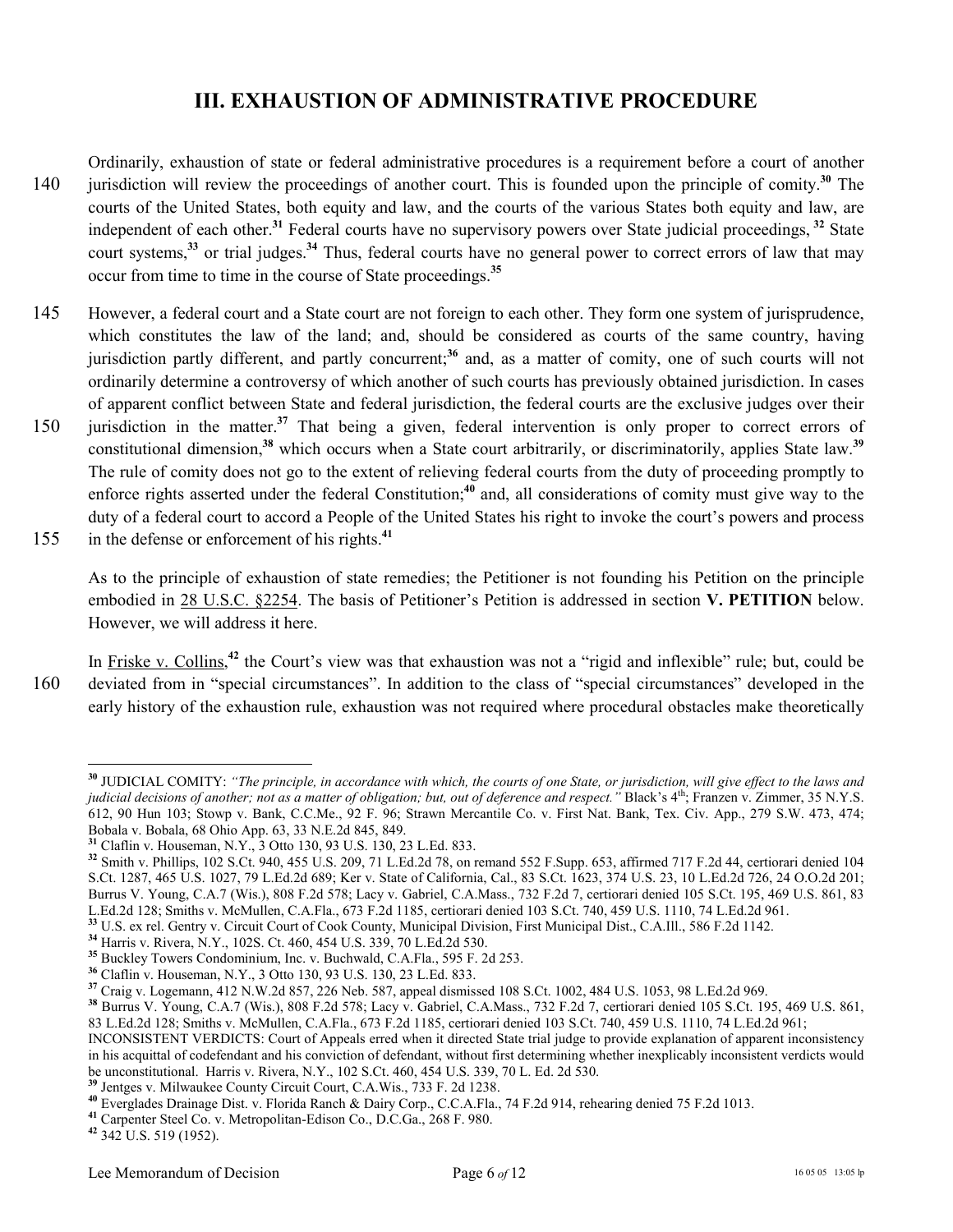## **III. EXHAUSTION OF ADMINISTRATIVE PROCEDURE**

- Ordinarily, exhaustion of state or federal administrative procedures is a requirement before a court of another 140 jurisdiction will review the proceedings of another court. This is founded upon the principle of comity.<sup>30</sup> The courts of the United States, both equity and law, and the courts of the various States both equity and law, are independent of each other.**<sup>31</sup>** Federal courts have no supervisory powers over State judicial proceedings, **<sup>32</sup>** State court systems,**<sup>33</sup>** or trial judges.**<sup>34</sup>** Thus, federal courts have no general power to correct errors of law that may occur from time to time in the course of State proceedings.**<sup>35</sup>**
- 145 However, a federal court and a State court are not foreign to each other. They form one system of jurisprudence, which constitutes the law of the land; and, should be considered as courts of the same country, having jurisdiction partly different, and partly concurrent;**<sup>36</sup>** and, as a matter of comity, one of such courts will not ordinarily determine a controversy of which another of such courts has previously obtained jurisdiction. In cases of apparent conflict between State and federal jurisdiction, the federal courts are the exclusive judges over their
- 150 iurisdiction in the matter.<sup>37</sup> That being a given, federal intervention is only proper to correct errors of constitutional dimension,**<sup>38</sup>** which occurs when a State court arbitrarily, or discriminatorily, applies State law.**<sup>39</sup>** The rule of comity does not go to the extent of relieving federal courts from the duty of proceeding promptly to enforce rights asserted under the federal Constitution;<sup>40</sup> and, all considerations of comity must give way to the duty of a federal court to accord a People of the United States his right to invoke the court's powers and process 155 in the defense or enforcement of his rights.<sup>41</sup>
- 

As to the principle of exhaustion of state remedies; the Petitioner is not founding his Petition on the principle embodied in 28 U.S.C. §2254. The basis of Petitioner's Petition is addressed in section **V. PETITION** below. However, we will address it here.

 $\overline{a}$ 

In Friske v. Collins,**<sup>42</sup>** the Court's view was that exhaustion was not a "rigid and inflexible" rule; but, could be 160 deviated from in "special circumstances". In addition to the class of "special circumstances" developed in the early history of the exhaustion rule, exhaustion was not required where procedural obstacles make theoretically

**<sup>39</sup>** Jentges v. Milwaukee County Circuit Court, C.A.Wis., 733 F. 2d 1238.

**<sup>30</sup>** JUDICIAL COMITY: *"The principle, in accordance with which, the courts of one State, or jurisdiction, will give effect to the laws and*  judicial decisions of another; not as a matter of obligation; but, out of deference and respect." Black's 4<sup>th</sup>; Franzen v. Zimmer, 35 N.Y.S. 612, 90 Hun 103; Stowp v. Bank, C.C.Me., 92 F. 96; Strawn Mercantile Co. v. First Nat. Bank, Tex. Civ. App., 279 S.W. 473, 474; Bobala v. Bobala, 68 Ohio App. 63, 33 N.E.2d 845, 849.

**<sup>31</sup>** Claflin v. Houseman, N.Y., 3 Otto 130, 93 U.S. 130, 23 L.Ed. 833.

**<sup>32</sup>** Smith v. Phillips, 102 S.Ct. 940, 455 U.S. 209, 71 L.Ed.2d 78, on remand 552 F.Supp. 653, affirmed 717 F.2d 44, certiorari denied 104 S.Ct. 1287, 465 U.S. 1027, 79 L.Ed.2d 689; Ker v. State of California, Cal., 83 S.Ct. 1623, 374 U.S. 23, 10 L.Ed.2d 726, 24 O.O.2d 201; Burrus V. Young, C.A.7 (Wis.), 808 F.2d 578; Lacy v. Gabriel, C.A.Mass., 732 F.2d 7, certiorari denied 105 S.Ct. 195, 469 U.S. 861, 83 L.Ed.2d 128; Smiths v. McMullen, C.A.Fla., 673 F.2d 1185, certiorari denied 103 S.Ct. 740, 459 U.S. 1110, 74 L.Ed.2d 961.

**<sup>33</sup>** U.S. ex rel. Gentry v. Circuit Court of Cook County, Municipal Division, First Municipal Dist., C.A.Ill., 586 F.2d 1142.

**<sup>34</sup>** Harris v. Rivera, N.Y., 102S. Ct. 460, 454 U.S. 339, 70 L.Ed.2d 530.

**<sup>35</sup>** Buckley Towers Condominium, Inc. v. Buchwald, C.A.Fla., 595 F. 2d 253.

**<sup>36</sup>** Claflin v. Houseman, N.Y., 3 Otto 130, 93 U.S. 130, 23 L.Ed. 833.

**<sup>37</sup>** Craig v. Logemann, 412 N.W.2d 857, 226 Neb. 587, appeal dismissed 108 S.Ct. 1002, 484 U.S. 1053, 98 L.Ed.2d 969.

**<sup>38</sup>** Burrus V. Young, C.A.7 (Wis.), 808 F.2d 578; Lacy v. Gabriel, C.A.Mass., 732 F.2d 7, certiorari denied 105 S.Ct. 195, 469 U.S. 861, 83 L.Ed.2d 128; Smiths v. McMullen, C.A.Fla., 673 F.2d 1185, certiorari denied 103 S.Ct. 740, 459 U.S. 1110, 74 L.Ed.2d 961;

INCONSISTENT VERDICTS: Court of Appeals erred when it directed State trial judge to provide explanation of apparent inconsistency in his acquittal of codefendant and his conviction of defendant, without first determining whether inexplicably inconsistent verdicts would be unconstitutional. Harris v. Rivera, N.Y., 102 S.Ct. 460, 454 U.S. 339, 70 L. Ed. 2d 530.

**<sup>40</sup>** Everglades Drainage Dist. v. Florida Ranch & Dairy Corp., C.C.A.Fla., 74 F.2d 914, rehearing denied 75 F.2d 1013.

**<sup>41</sup>** Carpenter Steel Co. v. Metropolitan-Edison Co., D.C.Ga., 268 F. 980.

**<sup>42</sup>** 342 U.S. 519 (1952).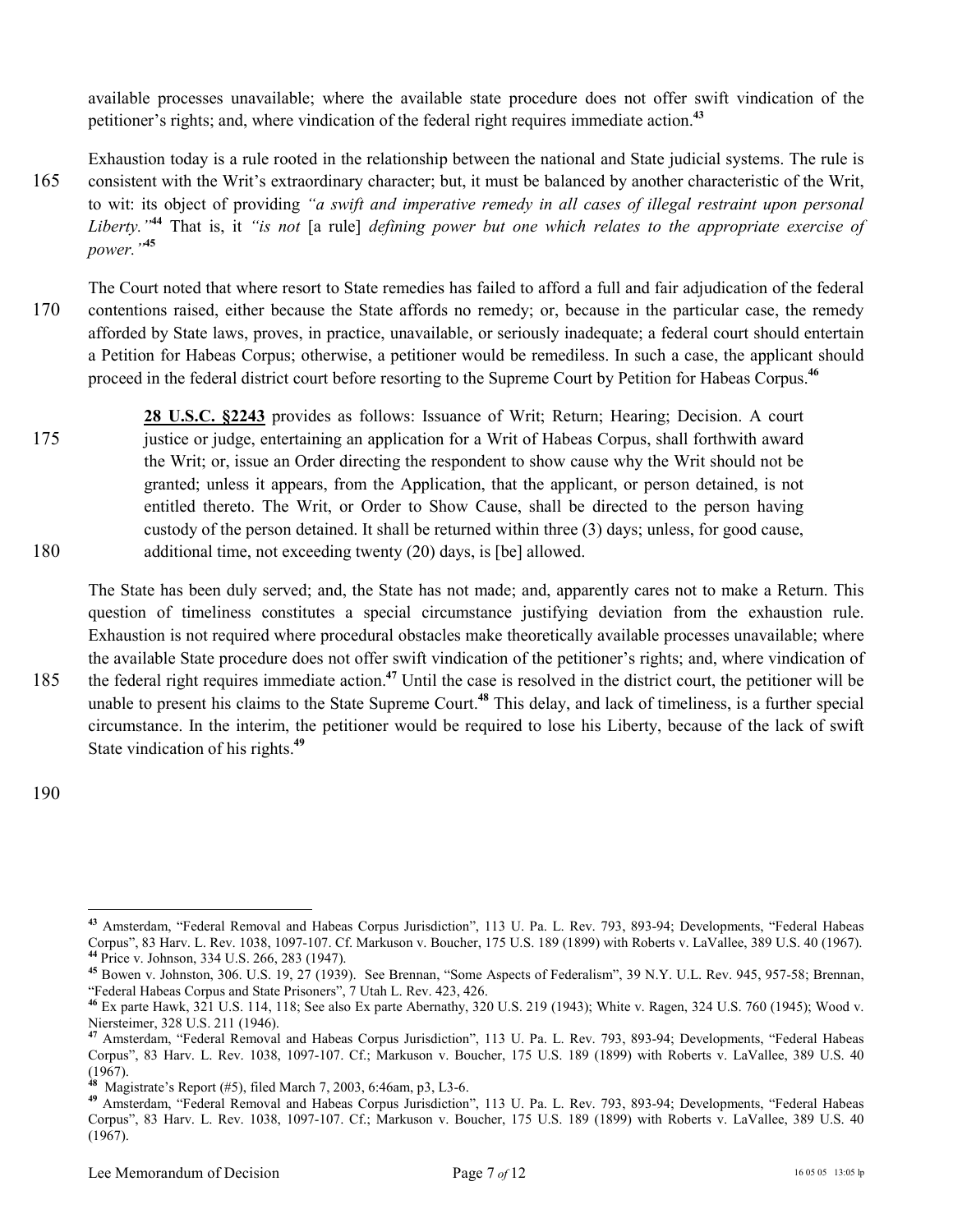available processes unavailable; where the available state procedure does not offer swift vindication of the petitioner's rights; and, where vindication of the federal right requires immediate action.**<sup>43</sup>**

- Exhaustion today is a rule rooted in the relationship between the national and State judicial systems. The rule is 165 consistent with the Writ's extraordinary character; but, it must be balanced by another characteristic of the Writ, to wit: its object of providing *"a swift and imperative remedy in all cases of illegal restraint upon personal Liberty."***<sup>44</sup>** That is, it *"is not* [a rule] *defining power but one which relates to the appropriate exercise of power."***<sup>45</sup>**
- The Court noted that where resort to State remedies has failed to afford a full and fair adjudication of the federal 170 contentions raised, either because the State affords no remedy; or, because in the particular case, the remedy afforded by State laws, proves, in practice, unavailable, or seriously inadequate; a federal court should entertain a Petition for Habeas Corpus; otherwise, a petitioner would be remediless. In such a case, the applicant should proceed in the federal district court before resorting to the Supreme Court by Petition for Habeas Corpus.**<sup>46</sup>**
- **28 U.S.C. §2243** provides as follows: Issuance of Writ; Return; Hearing; Decision. A court 175 justice or judge, entertaining an application for a Writ of Habeas Corpus, shall forthwith award the Writ; or, issue an Order directing the respondent to show cause why the Writ should not be granted; unless it appears, from the Application, that the applicant, or person detained, is not entitled thereto. The Writ, or Order to Show Cause, shall be directed to the person having custody of the person detained. It shall be returned within three (3) days; unless, for good cause, 180 additional time, not exceeding twenty (20) days, is [be] allowed.

The State has been duly served; and, the State has not made; and, apparently cares not to make a Return. This question of timeliness constitutes a special circumstance justifying deviation from the exhaustion rule. Exhaustion is not required where procedural obstacles make theoretically available processes unavailable; where the available State procedure does not offer swift vindication of the petitioner's rights; and, where vindication of

185 the federal right requires immediate action.<sup>47</sup> Until the case is resolved in the district court, the petitioner will be unable to present his claims to the State Supreme Court.**<sup>48</sup>** This delay, and lack of timeliness, is a further special circumstance. In the interim, the petitioner would be required to lose his Liberty, because of the lack of swift State vindication of his rights.**<sup>49</sup>**

190

l **<sup>43</sup>** Amsterdam, "Federal Removal and Habeas Corpus Jurisdiction", 113 U. Pa. L. Rev. 793, 893-94; Developments, "Federal Habeas Corpus", 83 Harv. L. Rev. 1038, 1097-107. Cf. Markuson v. Boucher, 175 U.S. 189 (1899) with Roberts v. LaVallee, 389 U.S. 40 (1967). **<sup>44</sup>** Price v. Johnson, 334 U.S. 266, 283 (1947).

**<sup>45</sup>** Bowen v. Johnston, 306. U.S. 19, 27 (1939). See Brennan, "Some Aspects of Federalism", 39 N.Y. U.L. Rev. 945, 957-58; Brennan, "Federal Habeas Corpus and State Prisoners", 7 Utah L. Rev. 423, 426.

**<sup>46</sup>** Ex parte Hawk, 321 U.S. 114, 118; See also Ex parte Abernathy, 320 U.S. 219 (1943); White v. Ragen, 324 U.S. 760 (1945); Wood v. Niersteimer, 328 U.S. 211 (1946).

**<sup>47</sup>** Amsterdam, "Federal Removal and Habeas Corpus Jurisdiction", 113 U. Pa. L. Rev. 793, 893-94; Developments, "Federal Habeas Corpus", 83 Harv. L. Rev. 1038, 1097-107. Cf.; Markuson v. Boucher, 175 U.S. 189 (1899) with Roberts v. LaVallee, 389 U.S. 40 (1967).

**<sup>48</sup>** Magistrate's Report (#5), filed March 7, 2003, 6:46am, p3, L3-6.

**<sup>49</sup>** Amsterdam, "Federal Removal and Habeas Corpus Jurisdiction", 113 U. Pa. L. Rev. 793, 893-94; Developments, "Federal Habeas Corpus", 83 Harv. L. Rev. 1038, 1097-107. Cf.; Markuson v. Boucher, 175 U.S. 189 (1899) with Roberts v. LaVallee, 389 U.S. 40 (1967).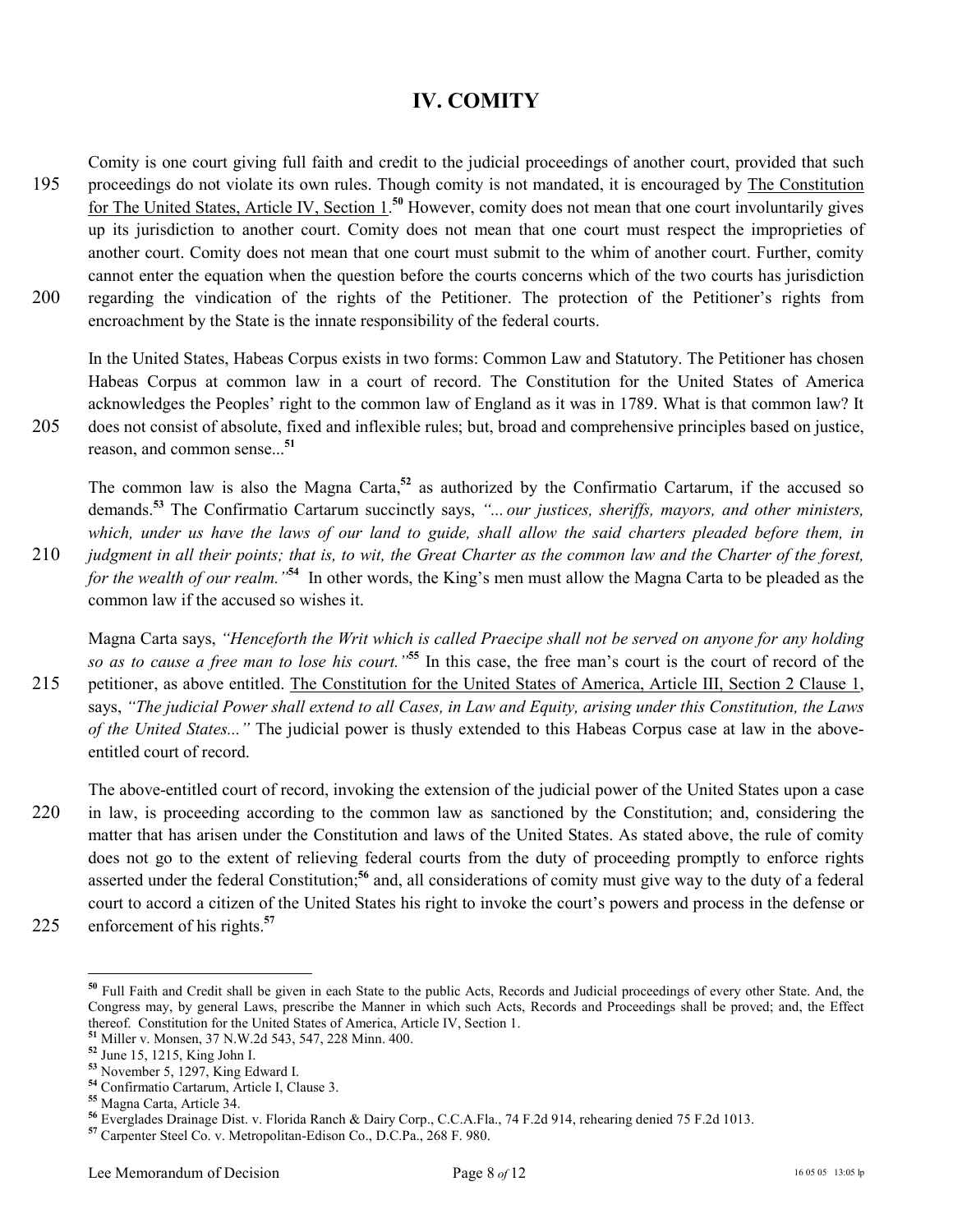## **IV. COMITY**

Comity is one court giving full faith and credit to the judicial proceedings of another court, provided that such 195 proceedings do not violate its own rules. Though comity is not mandated, it is encouraged by The Constitution for The United States, Article IV, Section 1.**<sup>50</sup>** However, comity does not mean that one court involuntarily gives up its jurisdiction to another court. Comity does not mean that one court must respect the improprieties of another court. Comity does not mean that one court must submit to the whim of another court. Further, comity cannot enter the equation when the question before the courts concerns which of the two courts has jurisdiction 200 regarding the vindication of the rights of the Petitioner. The protection of the Petitioner's rights from encroachment by the State is the innate responsibility of the federal courts.

In the United States, Habeas Corpus exists in two forms: Common Law and Statutory. The Petitioner has chosen Habeas Corpus at common law in a court of record. The Constitution for the United States of America acknowledges the Peoples' right to the common law of England as it was in 1789. What is that common law? It 205 does not consist of absolute, fixed and inflexible rules; but, broad and comprehensive principles based on justice, reason, and common sense...**<sup>51</sup>**

The common law is also the Magna Carta,**<sup>52</sup>** as authorized by the Confirmatio Cartarum, if the accused so demands.**<sup>53</sup>** The Confirmatio Cartarum succinctly says, *"... our justices, sheriffs, mayors, and other ministers,*  which, under us have the laws of our land to guide, shall allow the said charters pleaded before them, in 210 *judgment in all their points; that is, to wit, the Great Charter as the common law and the Charter of the forest, for the wealth of our realm."***<sup>54</sup>** In other words, the King's men must allow the Magna Carta to be pleaded as the common law if the accused so wishes it.

Magna Carta says, *"Henceforth the Writ which is called Praecipe shall not be served on anyone for any holding so as to cause a free man to lose his court."***<sup>55</sup>** In this case, the free man's court is the court of record of the 215 petitioner, as above entitled. The Constitution for the United States of America, Article III, Section 2 Clause 1, says, *"The judicial Power shall extend to all Cases, in Law and Equity, arising under this Constitution, the Laws of the United States..."* The judicial power is thusly extended to this Habeas Corpus case at law in the aboveentitled court of record.

The above-entitled court of record, invoking the extension of the judicial power of the United States upon a case 220 in law, is proceeding according to the common law as sanctioned by the Constitution; and, considering the matter that has arisen under the Constitution and laws of the United States. As stated above, the rule of comity does not go to the extent of relieving federal courts from the duty of proceeding promptly to enforce rights asserted under the federal Constitution;**<sup>56</sup>** and, all considerations of comity must give way to the duty of a federal court to accord a citizen of the United States his right to invoke the court's powers and process in the defense or enforcement of his rights.**<sup>57</sup>** 225

 $\overline{a}$ 

**<sup>50</sup>** Full Faith and Credit shall be given in each State to the public Acts, Records and Judicial proceedings of every other State. And, the Congress may, by general Laws, prescribe the Manner in which such Acts, Records and Proceedings shall be proved; and, the Effect thereof. Constitution for the United States of America, Article IV, Section 1.

**<sup>51</sup>** Miller v. Monsen, 37 N.W.2d 543, 547, 228 Minn. 400.

**<sup>52</sup>** June 15, 1215, King John I.

**<sup>53</sup>** November 5, 1297, King Edward I.

**<sup>54</sup>** Confirmatio Cartarum, Article I, Clause 3.

**<sup>55</sup>** Magna Carta, Article 34.

**<sup>56</sup>** Everglades Drainage Dist. v. Florida Ranch & Dairy Corp., C.C.A.Fla., 74 F.2d 914, rehearing denied 75 F.2d 1013.

**<sup>57</sup>** Carpenter Steel Co. v. Metropolitan-Edison Co., D.C.Pa., 268 F. 980.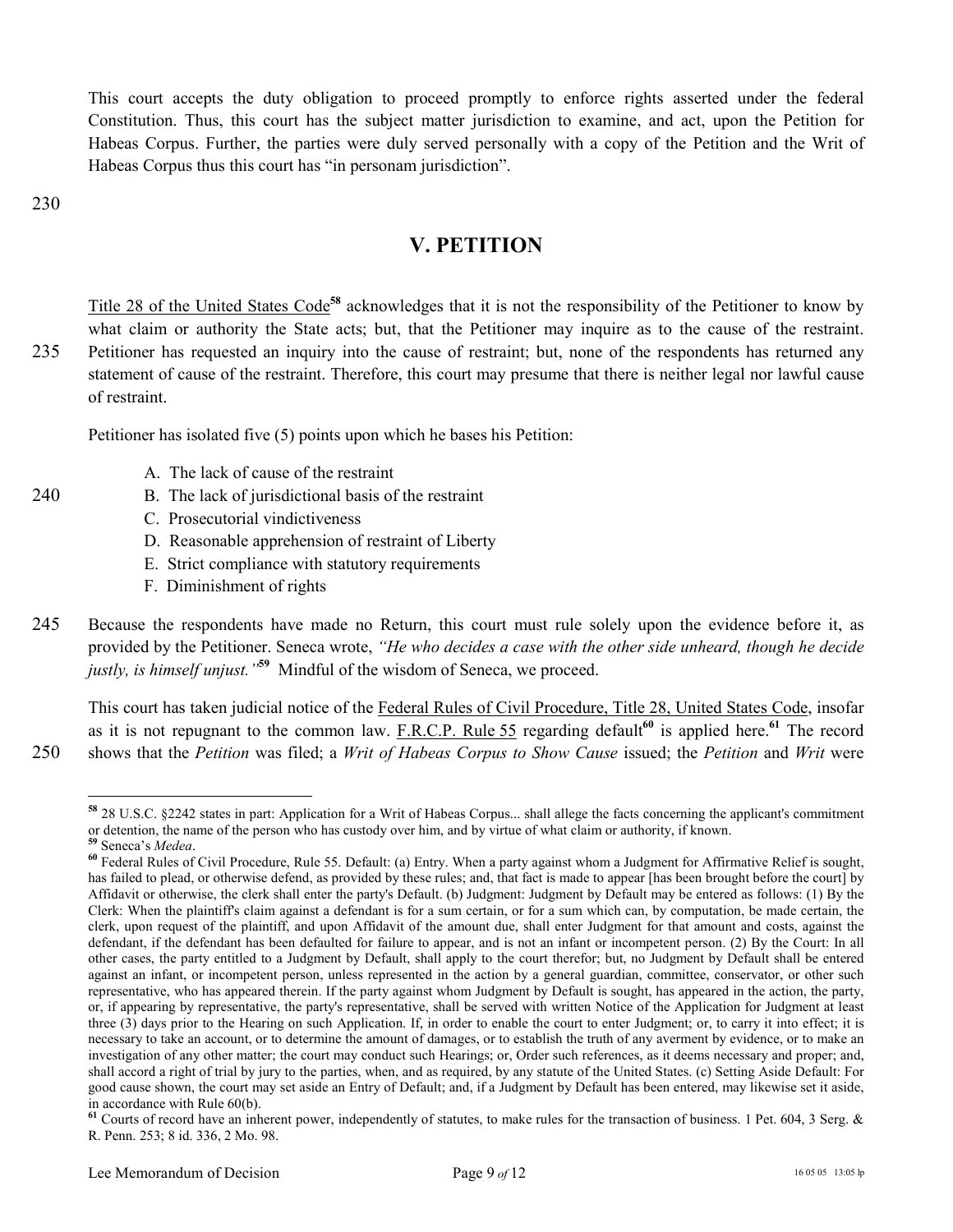This court accepts the duty obligation to proceed promptly to enforce rights asserted under the federal Constitution. Thus, this court has the subject matter jurisdiction to examine, and act, upon the Petition for Habeas Corpus. Further, the parties were duly served personally with a copy of the Petition and the Writ of Habeas Corpus thus this court has "in personam jurisdiction".

230

### **V. PETITION**

Title 28 of the United States Code**<sup>58</sup>** acknowledges that it is not the responsibility of the Petitioner to know by what claim or authority the State acts; but, that the Petitioner may inquire as to the cause of the restraint. 235 Petitioner has requested an inquiry into the cause of restraint; but, none of the respondents has returned any statement of cause of the restraint. Therefore, this court may presume that there is neither legal nor lawful cause of restraint.

Petitioner has isolated five (5) points upon which he bases his Petition:

- A. The lack of cause of the restraint
- 240 B. The lack of jurisdictional basis of the restraint
	- C. Prosecutorial vindictiveness
	- D. Reasonable apprehension of restraint of Liberty
	- E. Strict compliance with statutory requirements
	- F. Diminishment of rights
- 245 Because the respondents have made no Return, this court must rule solely upon the evidence before it, as provided by the Petitioner. Seneca wrote, *"He who decides a case with the other side unheard, though he decide justly, is himself unjust."***<sup>59</sup>** Mindful of the wisdom of Seneca, we proceed.

This court has taken judicial notice of the Federal Rules of Civil Procedure, Title 28, United States Code, insofar as it is not repugnant to the common law. F.R.C.P. Rule 55 regarding default<sup>60</sup> is applied here.<sup>61</sup> The record 250 shows that the *Petition* was filed; a *Writ of Habeas Corpus to Show Cause* issued; the *Petition* and *Writ* were

 $\overline{a}$ **<sup>58</sup>** 28 U.S.C. §2242 states in part: Application for a Writ of Habeas Corpus... shall allege the facts concerning the applicant's commitment or detention, the name of the person who has custody over him, and by virtue of what claim or authority, if known. **<sup>59</sup>** Seneca's *Medea*.

**<sup>60</sup>** Federal Rules of Civil Procedure, Rule 55. Default: (a) Entry. When a party against whom a Judgment for Affirmative Relief is sought, has failed to plead, or otherwise defend, as provided by these rules; and, that fact is made to appear [has been brought before the court] by Affidavit or otherwise, the clerk shall enter the party's Default. (b) Judgment: Judgment by Default may be entered as follows: (1) By the Clerk: When the plaintiff's claim against a defendant is for a sum certain, or for a sum which can, by computation, be made certain, the clerk, upon request of the plaintiff, and upon Affidavit of the amount due, shall enter Judgment for that amount and costs, against the defendant, if the defendant has been defaulted for failure to appear, and is not an infant or incompetent person. (2) By the Court: In all other cases, the party entitled to a Judgment by Default, shall apply to the court therefor; but, no Judgment by Default shall be entered against an infant, or incompetent person, unless represented in the action by a general guardian, committee, conservator, or other such representative, who has appeared therein. If the party against whom Judgment by Default is sought, has appeared in the action, the party, or, if appearing by representative, the party's representative, shall be served with written Notice of the Application for Judgment at least three (3) days prior to the Hearing on such Application. If, in order to enable the court to enter Judgment; or, to carry it into effect; it is necessary to take an account, or to determine the amount of damages, or to establish the truth of any averment by evidence, or to make an investigation of any other matter; the court may conduct such Hearings; or, Order such references, as it deems necessary and proper; and, shall accord a right of trial by jury to the parties, when, and as required, by any statute of the United States. (c) Setting Aside Default: For good cause shown, the court may set aside an Entry of Default; and, if a Judgment by Default has been entered, may likewise set it aside, in accordance with Rule 60(b).

**<sup>61</sup>** Courts of record have an inherent power, independently of statutes, to make rules for the transaction of business. 1 Pet. 604, 3 Serg. & R. Penn. 253; 8 id. 336, 2 Mo. 98.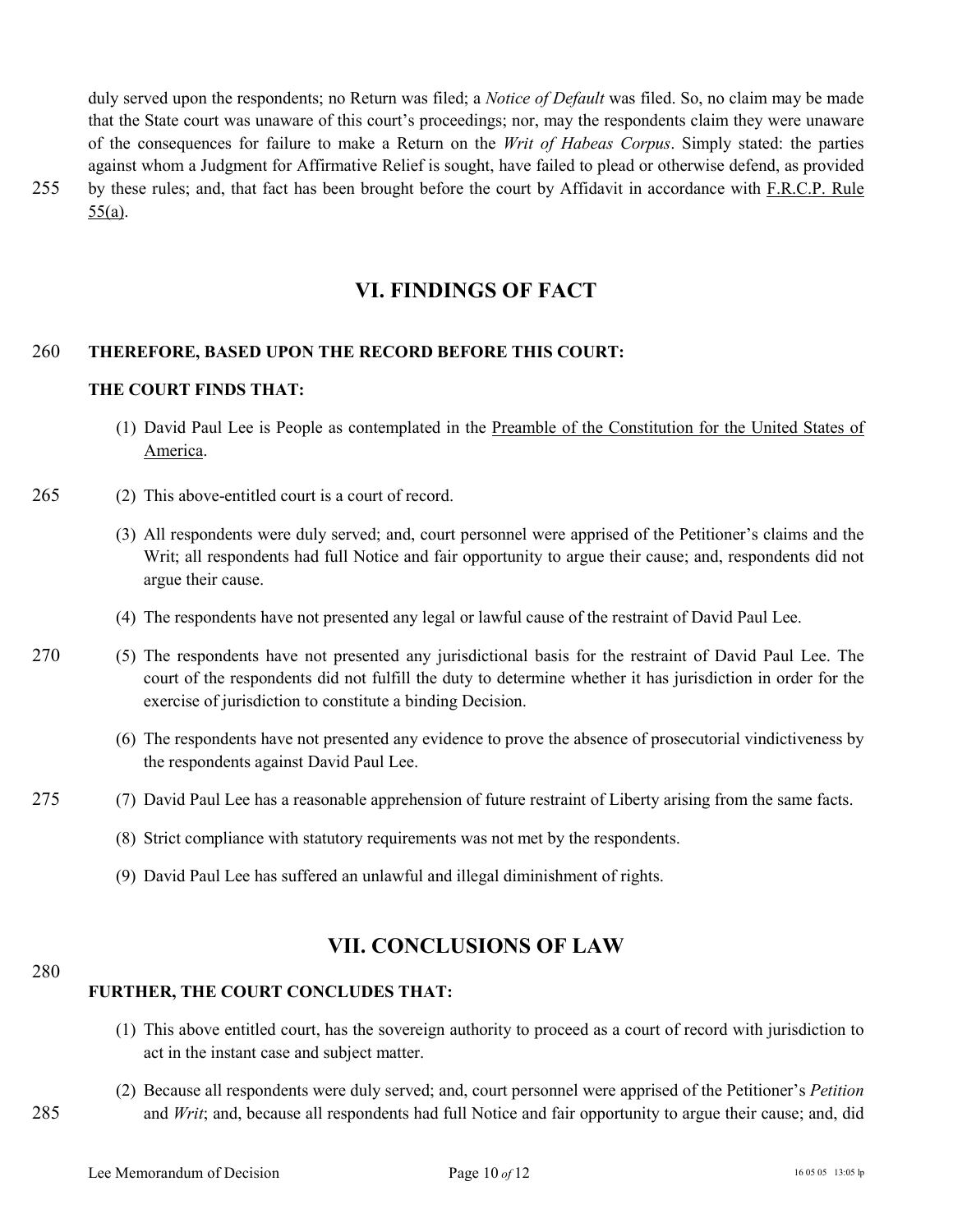duly served upon the respondents; no Return was filed; a *Notice of Default* was filed. So, no claim may be made that the State court was unaware of this court's proceedings; nor, may the respondents claim they were unaware of the consequences for failure to make a Return on the *Writ of Habeas Corpus*. Simply stated: the parties against whom a Judgment for Affirmative Relief is sought, have failed to plead or otherwise defend, as provided 255 by these rules; and, that fact has been brought before the court by Affidavit in accordance with F.R.C.P. Rule 55(a).

## **VI. FINDINGS OF FACT**

### 260 **THEREFORE, BASED UPON THE RECORD BEFORE THIS COURT:**

### **THE COURT FINDS THAT:**

- (1) David Paul Lee is People as contemplated in the Preamble of the Constitution for the United States of America.
- 265 (2) This above-entitled court is a court of record.
	- (3) All respondents were duly served; and, court personnel were apprised of the Petitioner's claims and the Writ; all respondents had full Notice and fair opportunity to argue their cause; and, respondents did not argue their cause.
	- (4) The respondents have not presented any legal or lawful cause of the restraint of David Paul Lee.
- 270 (5) The respondents have not presented any jurisdictional basis for the restraint of David Paul Lee. The court of the respondents did not fulfill the duty to determine whether it has jurisdiction in order for the exercise of jurisdiction to constitute a binding Decision.
	- (6) The respondents have not presented any evidence to prove the absence of prosecutorial vindictiveness by the respondents against David Paul Lee.
- 275 (7) David Paul Lee has a reasonable apprehension of future restraint of Liberty arising from the same facts.
	- (8) Strict compliance with statutory requirements was not met by the respondents.
	- (9) David Paul Lee has suffered an unlawful and illegal diminishment of rights.

### 280

## **VII. CONCLUSIONS OF LAW**

### **FURTHER, THE COURT CONCLUDES THAT:**

- (1) This above entitled court, has the sovereign authority to proceed as a court of record with jurisdiction to act in the instant case and subject matter.
- (2) Because all respondents were duly served; and, court personnel were apprised of the Petitioner's *Petition* 285 and *Writ*; and, because all respondents had full Notice and fair opportunity to argue their cause; and, did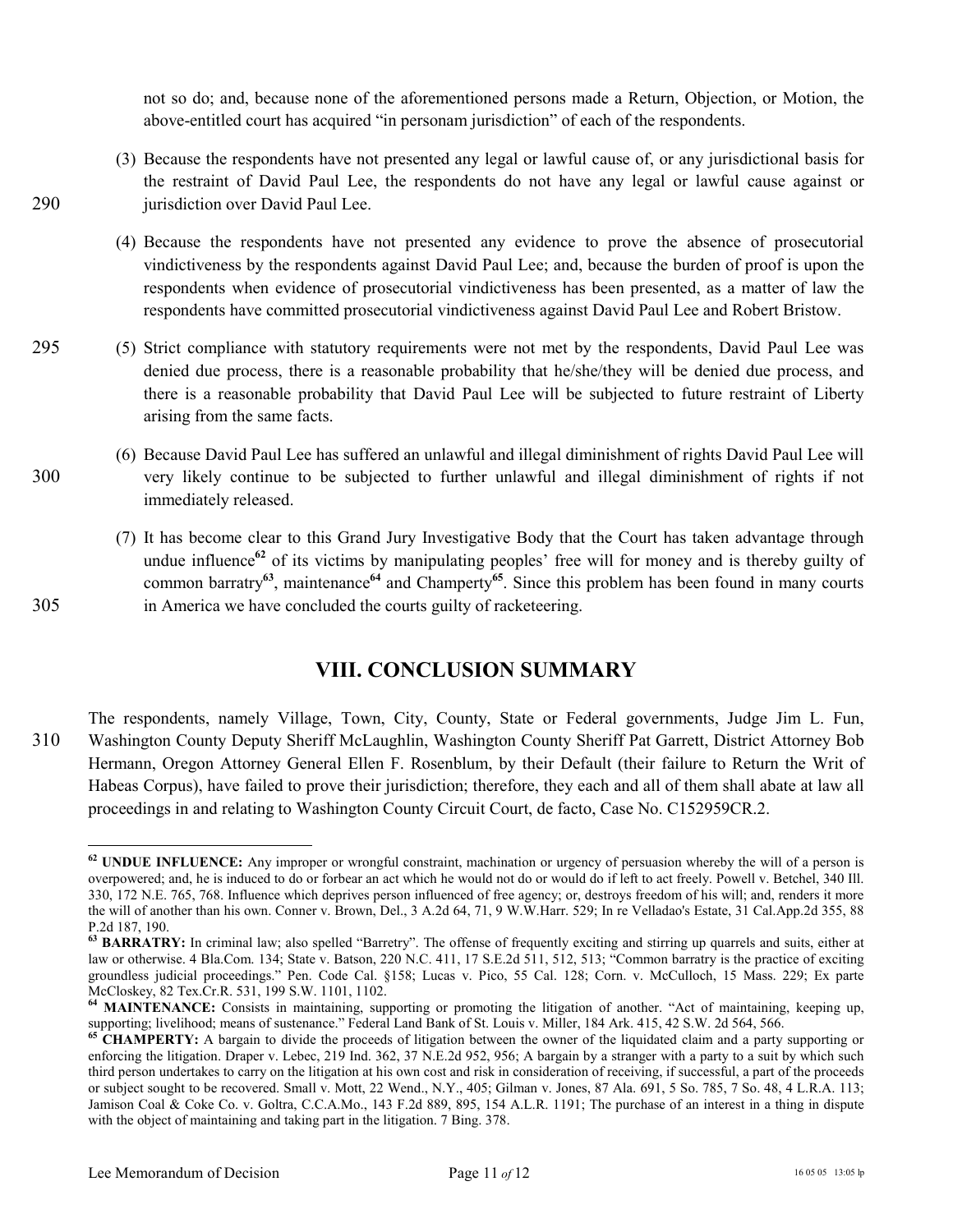not so do; and, because none of the aforementioned persons made a Return, Objection, or Motion, the above-entitled court has acquired "in personam jurisdiction" of each of the respondents.

- (3) Because the respondents have not presented any legal or lawful cause of, or any jurisdictional basis for the restraint of David Paul Lee, the respondents do not have any legal or lawful cause against or 290 jurisdiction over David Paul Lee.
	- (4) Because the respondents have not presented any evidence to prove the absence of prosecutorial vindictiveness by the respondents against David Paul Lee; and, because the burden of proof is upon the respondents when evidence of prosecutorial vindictiveness has been presented, as a matter of law the respondents have committed prosecutorial vindictiveness against David Paul Lee and Robert Bristow.
- 295 (5) Strict compliance with statutory requirements were not met by the respondents, David Paul Lee was denied due process, there is a reasonable probability that he/she/they will be denied due process, and there is a reasonable probability that David Paul Lee will be subjected to future restraint of Liberty arising from the same facts.
- (6) Because David Paul Lee has suffered an unlawful and illegal diminishment of rights David Paul Lee will 300 very likely continue to be subjected to further unlawful and illegal diminishment of rights if not immediately released.
- (7) It has become clear to this Grand Jury Investigative Body that the Court has taken advantage through undue influence<sup>62</sup> of its victims by manipulating peoples' free will for money and is thereby guilty of common barratry<sup>63</sup>, maintenance<sup>64</sup> and Champerty<sup>65</sup>. Since this problem has been found in many courts 305 in America we have concluded the courts guilty of racketeering.

## **VIII. CONCLUSION SUMMARY**

The respondents, namely Village, Town, City, County, State or Federal governments, Judge Jim L. Fun, 310 Washington County Deputy Sheriff McLaughlin, Washington County Sheriff Pat Garrett, District Attorney Bob Hermann, Oregon Attorney General Ellen F. Rosenblum, by their Default (their failure to Return the Writ of Habeas Corpus), have failed to prove their jurisdiction; therefore, they each and all of them shall abate at law all proceedings in and relating to Washington County Circuit Court, de facto, Case No. C152959CR.2.

 $\overline{a}$ **<sup>62</sup> UNDUE INFLUENCE:** Any improper or wrongful constraint, machination or urgency of persuasion whereby the will of a person is overpowered; and, he is induced to do or forbear an act which he would not do or would do if left to act freely. Powell v. Betchel, 340 Ill. 330, 172 N.E. 765, 768. Influence which deprives person influenced of free agency; or, destroys freedom of his will; and, renders it more the will of another than his own. Conner v. Brown, Del., 3 A.2d 64, 71, 9 W.W.Harr. 529; In re Velladao's Estate, 31 Cal.App.2d 355, 88 P.2d 187, 190.

<sup>&</sup>lt;sup>63</sup> **BARRATRY:** In criminal law; also spelled "Barretry". The offense of frequently exciting and stirring up quarrels and suits, either at law or otherwise. 4 Bla.Com. 134; State v. Batson, 220 N.C. 411, 17 S.E.2d 511, 512, 513; "Common barratry is the practice of exciting groundless judicial proceedings." Pen. Code Cal. §158; Lucas v. Pico, 55 Cal. 128; Corn. v. McCulloch, 15 Mass. 229; Ex parte McCloskey, 82 Tex.Cr.R. 531, 199 S.W. 1101, 1102.

**<sup>64</sup> MAINTENANCE:** Consists in maintaining, supporting or promoting the litigation of another. "Act of maintaining, keeping up, supporting; livelihood; means of sustenance." Federal Land Bank of St. Louis v. Miller, 184 Ark. 415, 42 S.W. 2d 564, 566.

**<sup>65</sup>** CHAMPERTY: A bargain to divide the proceeds of litigation between the owner of the liquidated claim and a party supporting or enforcing the litigation. Draper v. Lebec, 219 Ind. 362, 37 N.E.2d 952, 956; A bargain by a stranger with a party to a suit by which such third person undertakes to carry on the litigation at his own cost and risk in consideration of receiving, if successful, a part of the proceeds or subject sought to be recovered. Small v. Mott, 22 Wend., N.Y., 405; Gilman v. Jones, 87 Ala. 691, 5 So. 785, 7 So. 48, 4 L.R.A. 113; Jamison Coal & Coke Co. v. Goltra, C.C.A.Mo., 143 F.2d 889, 895, 154 A.L.R. 1191; The purchase of an interest in a thing in dispute with the object of maintaining and taking part in the litigation. 7 Bing. 378.